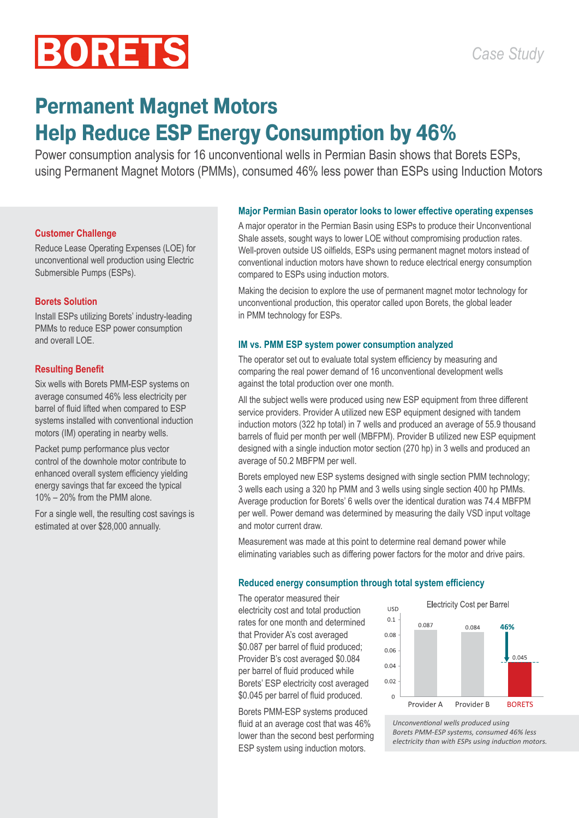# **BORETS**

# **Permanent Magnet Motors Help Reduce ESP Energy Consumption by 46%**

Power consumption analysis for 16 unconventional wells in Permian Basin shows that Borets ESPs, using Permanent Magnet Motors (PMMs), consumed 46% less power than ESPs using Induction Motors

# **Customer Challenge**

Reduce Lease Operating Expenses (LOE) for unconventional well production using Electric Submersible Pumps (ESPs).

# **Borets Solution**

Install ESPs utilizing Borets' industry-leading PMMs to reduce ESP power consumption and overall LOE.

# **Resulting Benefit**

Six wells with Borets PMM-ESP systems on average consumed 46% less electricity per barrel of fluid lifted when compared to ESP systems installed with conventional induction motors (IM) operating in nearby wells.

Packet pump performance plus vector control of the downhole motor contribute to enhanced overall system efficiency yielding energy savings that far exceed the typical 10% – 20% from the PMM alone.

For a single well, the resulting cost savings is estimated at over \$28,000 annually.

#### **Major Permian Basin operator looks to lower effective operating expenses**

A major operator in the Permian Basin using ESPs to produce their Unconventional Shale assets, sought ways to lower LOE without compromising production rates. Well-proven outside US oilfields, ESPs using permanent magnet motors instead of conventional induction motors have shown to reduce electrical energy consumption compared to ESPs using induction motors.

Making the decision to explore the use of permanent magnet motor technology for unconventional production, this operator called upon Borets, the global leader in PMM technology for ESPs.

# **IM vs. PMM ESP system power consumption analyzed**

The operator set out to evaluate total system efficiency by measuring and comparing the real power demand of 16 unconventional development wells against the total production over one month.

All the subject wells were produced using new ESP equipment from three different service providers. Provider A utilized new ESP equipment designed with tandem induction motors (322 hp total) in 7 wells and produced an average of 55.9 thousand barrels of fluid per month per well (MBFPM). Provider B utilized new ESP equipment designed with a single induction motor section (270 hp) in 3 wells and produced an average of 50.2 MBFPM per well.

Borets employed new ESP systems designed with single section PMM technology; 3 wells each using a 320 hp PMM and 3 wells using single section 400 hp PMMs. Average production for Borets' 6 wells over the identical duration was 74.4 MBFPM per well. Power demand was determined by measuring the daily VSD input voltage and motor current draw.

Measurement was made at this point to determine real demand power while eliminating variables such as differing power factors for the motor and drive pairs.

#### **Reduced energy consumption through total system efficiency**

The operator measured their electricity cost and total production rates for one month and determined that Provider A's cost averaged \$0.087 per barrel of fluid produced; Provider B's cost averaged \$0.084 per barrel of fluid produced while Borets' ESP electricity cost averaged \$0.045 per barrel of fluid produced.

Borets PMM-ESP systems produced fluid at an average cost that was 46% lower than the second best performing ESP system using induction motors.



*Unconventional wells produced using Borets PMM-ESP systems, consumed 46% less electricity than with ESPs using induction motors.*